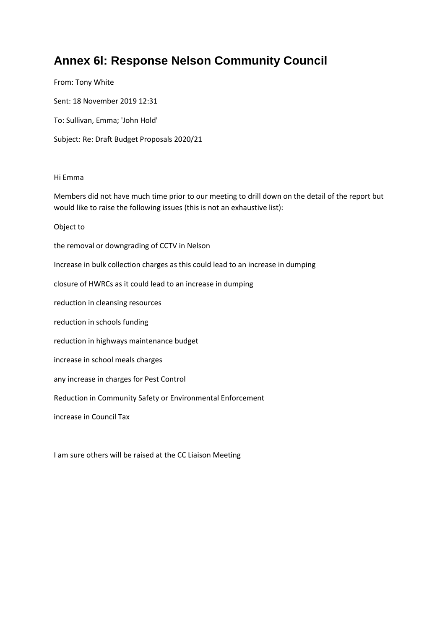## **Annex 6l: Response Nelson Community Council**

From: Tony White Sent: 18 November 2019 12:31 To: Sullivan, Emma; 'John Hold' Subject: Re: Draft Budget Proposals 2020/21

## Hi Emma

Members did not have much time prior to our meeting to drill down on the detail of the report but would like to raise the following issues (this is not an exhaustive list):

Object to

the removal or downgrading of CCTV in Nelson

Increase in bulk collection charges as this could lead to an increase in dumping

closure of HWRCs as it could lead to an increase in dumping

reduction in cleansing resources

reduction in schools funding

reduction in highways maintenance budget

increase in school meals charges

any increase in charges for Pest Control

Reduction in Community Safety or Environmental Enforcement

increase in Council Tax

I am sure others will be raised at the CC Liaison Meeting